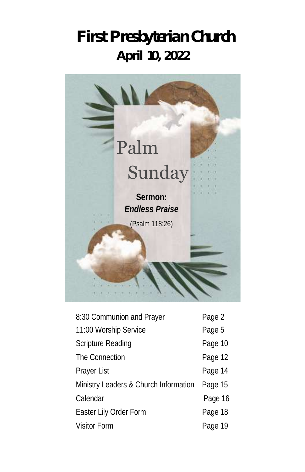# **First Presbyterian Church April 10, 2022**



| 8:30 Communion and Prayer             | Page 2  |
|---------------------------------------|---------|
| 11:00 Worship Service                 | Page 5  |
| Scripture Reading                     | Page 10 |
| The Connection                        | Page 12 |
| Prayer List                           | Page 14 |
| Ministry Leaders & Church Information | Page 15 |
| Calendar                              | Page 16 |
| Easter Lily Order Form                | Page 18 |
| <b>Visitor Form</b>                   | Page 19 |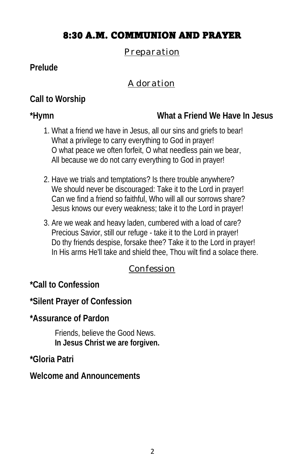# 8:30 A.M. COMMUNION AND PRAYER

#### *Preparation*

#### **Prelude**

#### *Adoration*

**Call to Worship** 

**\*Hymn What a Friend We Have In Jesus**

- 1. What a friend we have in Jesus, all our sins and griefs to bear! What a privilege to carry everything to God in prayer! O what peace we often forfeit, O what needless pain we bear, All because we do not carry everything to God in prayer!
- 2. Have we trials and temptations? Is there trouble anywhere? We should never be discouraged: Take it to the Lord in prayer! Can we find a friend so faithful, Who will all our sorrows share? Jesus knows our every weakness; take it to the Lord in prayer!
- 3. Are we weak and heavy laden, cumbered with a load of care? Precious Savior, still our refuge - take it to the Lord in prayer! Do thy friends despise, forsake thee? Take it to the Lord in prayer! In His arms He'll take and shield thee, Thou wilt find a solace there.

#### *Confession*

**\*Call to Confession** 

**\*Silent Prayer of Confession**

**\*Assurance of Pardon** 

Friends, believe the Good News. **In Jesus Christ we are forgiven.**

**\*Gloria Patri**

**Welcome and Announcements**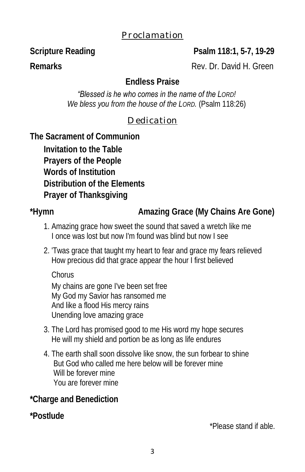#### *Proclamation*

**Scripture Reading Psalm 118:1, 5-7, 19-29** 

**Remarks** Rev. Dr. David H. Green

**Endless Praise**

*"Blessed is he who comes in the name of the LORD!* 

*We bless you from the house of the LORD.* (Psalm 118:26)

# *Dedication*

**The Sacrament of Communion** 

**Invitation to the Table Prayers of the People Words of Institution Distribution of the Elements Prayer of Thanksgiving** 

\*Hymn **Amazing Grace (My Chains Are Gone)** 

- 1. Amazing grace how sweet the sound that saved a wretch like me I once was lost but now I'm found was blind but now I see
- 2. 'Twas grace that taught my heart to fear and grace my fears relieved How precious did that grace appear the hour I first believed

 Chorus My chains are gone I've been set free My God my Savior has ransomed me And like a flood His mercy rains Unending love amazing grace

- 3. The Lord has promised good to me His word my hope secures He will my shield and portion be as long as life endures
- 4. The earth shall soon dissolve like snow, the sun forbear to shine But God who called me here below will be forever mine Will be forever mine You are forever mine

**\*Charge and Benediction** 

**\*Postlude** 

\*Please stand if able.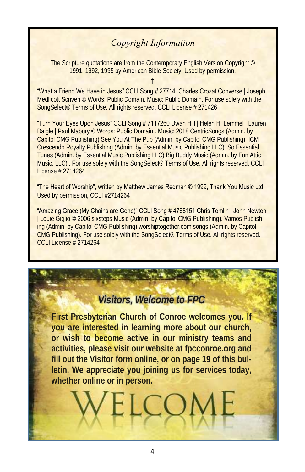#### *Copyright Information*

The Scripture quotations are from the Contemporary English Version Copyright © 1991, 1992, 1995 by American Bible Society. Used by permission.

†

"What a Friend We Have in Jesus" CCLI Song # 27714. Charles Crozat Converse | Joseph Medlicott Scriven © Words: Public Domain. Music: Public Domain. For use solely with the SongSelect® Terms of Use. All rights reserved. CCLI License # 271426

"Turn Your Eyes Upon Jesus" CCLI Song # 7117260 Dwan Hill | Helen H. Lemmel | Lauren Daigle | Paul Mabury © Words: Public Domain . Music: 2018 CentricSongs (Admin. by Capitol CMG Publishing) See You At The Pub (Admin. by Capitol CMG Publishing). ICM Crescendo Royalty Publishing (Admin. by Essential Music Publishing LLC). So Essential Tunes (Admin. by Essential Music Publishing LLC) Big Buddy Music (Admin. by Fun Attic Music, LLC) . For use solely with the SongSelect® Terms of Use. All rights reserved. CCLI License # 2714264

"The Heart of Worship", written by Matthew James Redman © 1999, Thank You Music Ltd. Used by permission, CCLI #2714264

"Amazing Grace (My Chains are Gone)" CCLI Song # 4768151 Chris Tomlin | John Newton | Louie Giglio © 2006 sixsteps Music (Admin. by Capitol CMG Publishing). Vamos Publishing (Admin. by Capitol CMG Publishing) worshiptogether.com songs (Admin. by Capitol CMG Publishing). For use solely with the SongSelect® Terms of Use. All rights reserved. CCLI License # 2714264

# *Visitors, Welcome to FPC*

**First Presbyterian Church of Conroe welcomes you. If you are interested in learning more about our church, or wish to become active in our ministry teams and activities, please visit our website at fpcconroe.org and fill out the Visitor form online, or on page 19 of this bulletin. We appreciate you joining us for services today, whether online or in person.**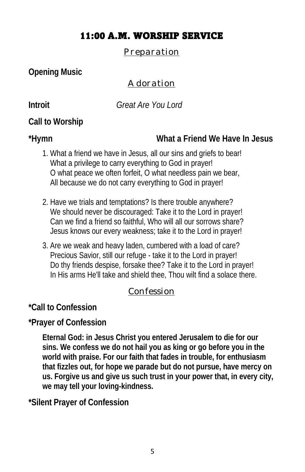# 11:00 A.M. WORSHIP SERVICE

*Preparation*

**Opening Music**

# *Adoration*

**Introit** *Great Are You Lord* 

**Call to Worship** 

**\*Hymn What a Friend We Have In Jesus**

- 1. What a friend we have in Jesus, all our sins and griefs to bear! What a privilege to carry everything to God in prayer! O what peace we often forfeit, O what needless pain we bear, All because we do not carry everything to God in prayer!
- 2. Have we trials and temptations? Is there trouble anywhere? We should never be discouraged: Take it to the Lord in prayer! Can we find a friend so faithful, Who will all our sorrows share? Jesus knows our every weakness; take it to the Lord in prayer!
- 3. Are we weak and heavy laden, cumbered with a load of care? Precious Savior, still our refuge - take it to the Lord in prayer! Do thy friends despise, forsake thee? Take it to the Lord in prayer! In His arms He'll take and shield thee, Thou wilt find a solace there.

# *Confession*

**\*Call to Confession** 

**\*Prayer of Confession**

**Eternal God: in Jesus Christ you entered Jerusalem to die for our sins. We confess we do not hail you as king or go before you in the world with praise. For our faith that fades in trouble, for enthusiasm that fizzles out, for hope we parade but do not pursue, have mercy on us. Forgive us and give us such trust in your power that, in every city, we may tell your loving-kindness.**

**\*Silent Prayer of Confession**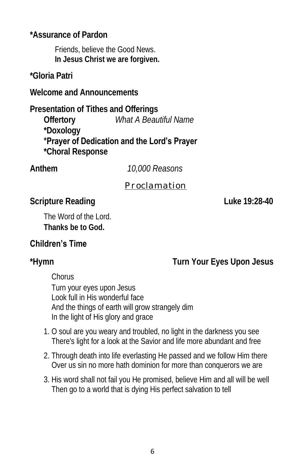**\*Assurance of Pardon** 

Friends, believe the Good News. **In Jesus Christ we are forgiven.**

**\*Gloria Patri**

**Welcome and Announcements**

**Presentation of Tithes and Offerings Offertory** *What A Beautiful Name*  **\*Doxology \*Prayer of Dedication and the Lord's Prayer \*Choral Response** 

**Anthem** *10,000 Reasons* 

### *Proclamation*

**Scripture Reading Community Community Community Community Community Community Community Community Community Community Community Community Community Community Community Community Community Community Community Community Com** 

The Word of the Lord. **Thanks be to God.**

# **Children's Time**

**\*Hymn Turn Your Eyes Upon Jesus**

Chorus

 Turn your eyes upon Jesus Look full in His wonderful face And the things of earth will grow strangely dim In the light of His glory and grace

- 1. O soul are you weary and troubled, no light in the darkness you see There's light for a look at the Savior and life more abundant and free
- 2. Through death into life everlasting He passed and we follow Him there Over us sin no more hath dominion for more than conquerors we are
- 3. His word shall not fail you He promised, believe Him and all will be well Then go to a world that is dying His perfect salvation to tell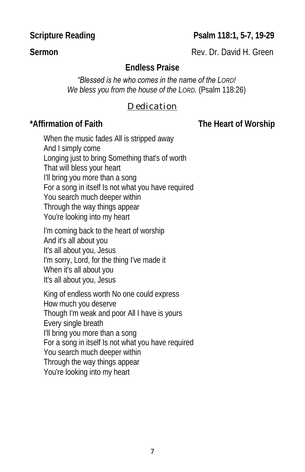**Scripture Reading**  Psalm 118:1, 5-7, 19-29

**Sermon Rev. Dr. David H. Green** 

## **Endless Praise**

*"Blessed is he who comes in the name of the LORD!* 

*We bless you from the house of the LORD.* (Psalm 118:26)

#### *Dedication*

**\*Affirmation of Faith The Heart of Worship**

When the music fades All is stripped away And I simply come Longing just to bring Something that's of worth That will bless your heart I'll bring you more than a song For a song in itself Is not what you have required You search much deeper within Through the way things appear You're looking into my heart

I'm coming back to the heart of worship And it's all about you It's all about you, Jesus I'm sorry, Lord, for the thing I've made it When it's all about you It's all about you, Jesus

King of endless worth No one could express How much you deserve Though I'm weak and poor All I have is yours Every single breath I'll bring you more than a song For a song in itself Is not what you have required You search much deeper within Through the way things appear You're looking into my heart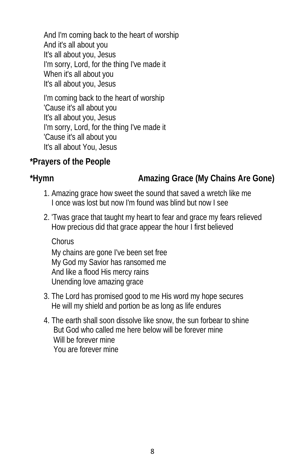And I'm coming back to the heart of worship And it's all about you It's all about you, Jesus I'm sorry, Lord, for the thing I've made it When it's all about you It's all about you, Jesus

I'm coming back to the heart of worship 'Cause it's all about you It's all about you, Jesus I'm sorry, Lord, for the thing I've made it 'Cause it's all about you It's all about You, Jesus

**\*Prayers of the People**

\*Hymn **Amazing Grace (My Chains Are Gone)** 

- 1. Amazing grace how sweet the sound that saved a wretch like me I once was lost but now I'm found was blind but now I see
- 2. 'Twas grace that taught my heart to fear and grace my fears relieved How precious did that grace appear the hour I first believed

Chorus

 My chains are gone I've been set free My God my Savior has ransomed me And like a flood His mercy rains Unending love amazing grace

- 3. The Lord has promised good to me His word my hope secures He will my shield and portion be as long as life endures
- 4. The earth shall soon dissolve like snow, the sun forbear to shine But God who called me here below will be forever mine Will be forever mine You are forever mine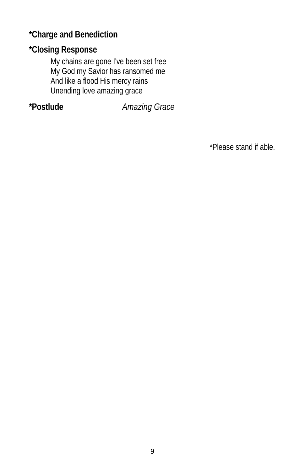**\*Charge and Benediction** 

**\*Closing Response** 

 My chains are gone I've been set free My God my Savior has ransomed me And like a flood His mercy rains Unending love amazing grace

**\*Postlude** *Amazing Grace* 

\*Please stand if able.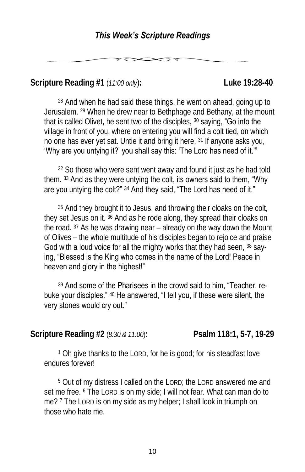**Scripture Reading #1** (*11:00 only*)**: Luke 19:28-40**

<sup>28</sup> And when he had said these things, he went on ahead, going up to Jerusalem. <sup>29</sup> When he drew near to Bethphage and Bethany, at the mount that is called Olivet, he sent two of the disciples, <sup>30</sup> saying, "Go into the village in front of you, where on entering you will find a colt tied, on which no one has ever yet sat. Untie it and bring it here. <sup>31</sup> If anyone asks you, 'Why are you untying it?' you shall say this: 'The Lord has need of it.'"

<sup>32</sup> So those who were sent went away and found it just as he had told them. <sup>33</sup> And as they were untying the colt, its owners said to them, "Why are you untying the colt?" <sup>34</sup> And they said, "The Lord has need of it."

<sup>35</sup> And they brought it to Jesus, and throwing their cloaks on the colt, they set Jesus on it. <sup>36</sup> And as he rode along, they spread their cloaks on the road. <sup>37</sup> As he was drawing near – already on the way down the Mount of Olives – the whole multitude of his disciples began to rejoice and praise God with a loud voice for all the mighty works that they had seen, 38 saying, "Blessed is the King who comes in the name of the Lord! Peace in heaven and glory in the highest!"

<sup>39</sup> And some of the Pharisees in the crowd said to him, "Teacher, rebuke your disciples." <sup>40</sup> He answered, "I tell you, if these were silent, the very stones would cry out."

**Scripture Reading #2** (*8:30 & 11:00*)**: Psalm 118:1, 5-7, 19-29**

<sup>1</sup> Oh give thanks to the LORD, for he is good; for his steadfast love endures forever!

<sup>5</sup> Out of my distress I called on the LORD; the LORD answered me and set me free. <sup>6</sup> The Lord is on my side; I will not fear. What can man do to me? <sup>7</sup> The Lord is on my side as my helper; I shall look in triumph on those who hate me.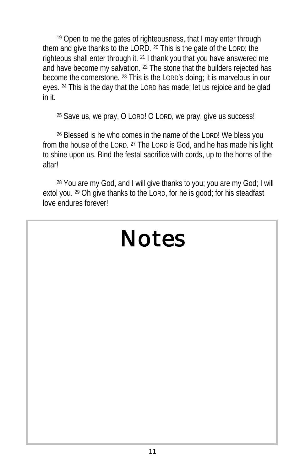<sup>19</sup> Open to me the gates of righteousness, that I may enter through them and give thanks to the LORD. <sup>20</sup> This is the gate of the LORD; the righteous shall enter through it. <sup>21</sup> I thank you that you have answered me and have become my salvation. <sup>22</sup> The stone that the builders rejected has become the cornerstone. <sup>23</sup> This is the LORD's doing; it is marvelous in our eyes. <sup>24</sup> This is the day that the LORD has made; let us rejoice and be glad in it.

<sup>25</sup> Save us, we pray, O LORD! O LORD, we pray, give us success!

<sup>26</sup> Blessed is he who comes in the name of the LORD! We bless you from the house of the LORD. <sup>27</sup> The LORD is God, and he has made his light to shine upon us. Bind the festal sacrifice with cords, up to the horns of the altar!

<sup>28</sup> You are my God, and I will give thanks to you; you are my God; I will extol you. <sup>29</sup> Oh give thanks to the LORD, for he is good; for his steadfast love endures forever!

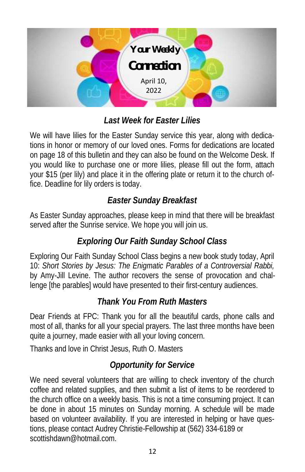

# *Last Week for Easter Lilies*

We will have lilies for the Easter Sunday service this year, along with dedications in honor or memory of our loved ones. Forms for dedications are located on page 18 of this bulletin and they can also be found on the Welcome Desk. If you would like to purchase one or more lilies, please fill out the form, attach your \$15 (per lily) and place it in the offering plate or return it to the church office. Deadline for lily orders is today.

# *Easter Sunday Breakfast*

As Easter Sunday approaches, please keep in mind that there will be breakfast served after the Sunrise service. We hope you will join us.

# *Exploring Our Faith Sunday School Class*

Exploring Our Faith Sunday School Class begins a new book study today, April 10: *Short Stories by Jesus: The Enigmatic Parables of a Controversial Rabbi,*  by Amy-Jill Levine. The author recovers the sense of provocation and challenge [the parables] would have presented to their first-century audiences.

### *Thank You From Ruth Masters*

Dear Friends at FPC: Thank you for all the beautiful cards, phone calls and most of all, thanks for all your special prayers. The last three months have been quite a journey, made easier with all your loving concern.

Thanks and love in Christ Jesus, Ruth O. Masters

# *Opportunity for Service*

We need several volunteers that are willing to check inventory of the church coffee and related supplies, and then submit a list of items to be reordered to the church office on a weekly basis. This is not a time consuming project. It can be done in about 15 minutes on Sunday morning. A schedule will be made based on volunteer availability. If you are interested in helping or have questions, please contact Audrey Christie-Fellowship at (562) 334-6189 or [scottishdawn@hotmail.com.](mailto:scottishdawn@hotmail.com)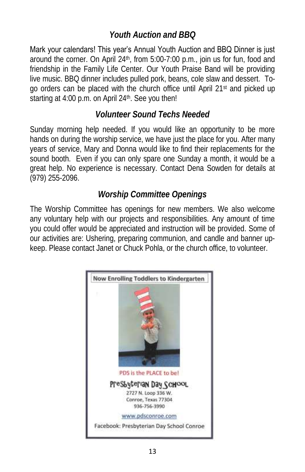# *Youth Auction and BBQ*

Mark your calendars! This year's Annual Youth Auction and BBQ Dinner is just around the corner. On April 24th, from 5:00-7:00 p.m., join us for fun, food and friendship in the Family Life Center. Our Youth Praise Band will be providing live music. BBQ dinner includes pulled pork, beans, cole slaw and dessert. Togo orders can be placed with the church office until April 21st and picked up starting at 4:00 p.m. on April 24th. See you then!

## *Volunteer Sound Techs Needed*

Sunday morning help needed. If you would like an opportunity to be more hands on during the worship service, we have just the place for you. After many years of service, Mary and Donna would like to find their replacements for the sound booth. Even if you can only spare one Sunday a month, it would be a great help. No experience is necessary. Contact Dena Sowden for details at (979) 255-2096.

# *Worship Committee Openings*

The Worship Committee has openings for new members. We also welcome any voluntary help with our projects and responsibilities. Any amount of time you could offer would be appreciated and instruction will be provided. Some of our activities are: Ushering, preparing communion, and candle and banner upkeep. Please contact Janet or Chuck Pohla, or the church office, to volunteer.

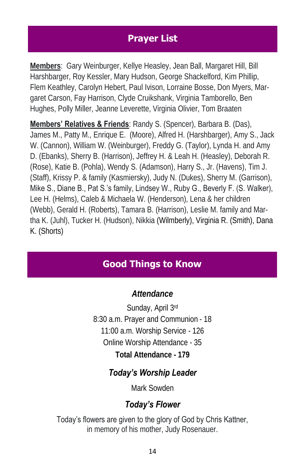# **Prayer List**

**Members**: Gary Weinburger, Kellye Heasley, Jean Ball, Margaret Hill, Bill Harshbarger, Roy Kessler, Mary Hudson, George Shackelford, Kim Phillip, Flem Keathley, Carolyn Hebert, Paul Ivison, Lorraine Bosse, Don Myers, Margaret Carson, Fay Harrison, Clyde Cruikshank, Virginia Tamborello, Ben Hughes, Polly Miller, Jeanne Leverette, Virginia Olivier, Tom Braaten

**Members' Relatives & Friends**: Randy S. (Spencer), Barbara B. (Das), James M., Patty M., Enrique E. (Moore), Alfred H. (Harshbarger), Amy S., Jack W. (Cannon), William W. (Weinburger), Freddy G. (Taylor), Lynda H. and Amy D. (Ebanks), Sherry B. (Harrison), Jeffrey H. & Leah H. (Heasley), Deborah R. (Rose), Katie B. (Pohla), Wendy S. (Adamson), Harry S., Jr. (Havens), Tim J. (Staff), Krissy P. & family (Kasmiersky), Judy N. (Dukes), Sherry M. (Garrison), Mike S., Diane B., Pat S.'s family, Lindsey W., Ruby G., Beverly F. (S. Walker), Lee H. (Helms), Caleb & Michaela W. (Henderson), Lena & her children (Webb), Gerald H. (Roberts), Tamara B. (Harrison), Leslie M. family and Martha K. (Juhl), Tucker H. (Hudson), Nikkia (Wilmberly), Virginia R. (Smith), Dana K. (Shorts)

# **Good Things to Know**

*Attendance*

Sunday, April 3rd 8:30 a.m. Prayer and Communion - 18 11:00 a.m. Worship Service - 126 Online Worship Attendance - 35 **Total Attendance - 179**

### *Today's Worship Leader*

Mark Sowden

# *Today's Flower*

Today's flowers are given to the glory of God by Chris Kattner, in memory of his mother, Judy Rosenauer.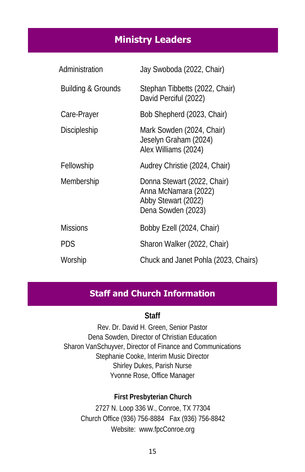## **Ministry Leaders**

| Administration     | Jay Swoboda (2022, Chair)                                                                        |
|--------------------|--------------------------------------------------------------------------------------------------|
| Building & Grounds | Stephan Tibbetts (2022, Chair)<br>David Perciful (2022)                                          |
| Care-Prayer        | Bob Shepherd (2023, Chair)                                                                       |
| Discipleship       | Mark Sowden (2024, Chair)<br>Jeselyn Graham (2024)<br>Alex Williams (2024)                       |
| Fellowship         | Audrey Christie (2024, Chair)                                                                    |
| Membership         | Donna Stewart (2022, Chair)<br>Anna McNamara (2022)<br>Abby Stewart (2022)<br>Dena Sowden (2023) |
| <b>Missions</b>    | Bobby Ezell (2024, Chair)                                                                        |
| PDS                | Sharon Walker (2022, Chair)                                                                      |
| Worship            | Chuck and Janet Pohla (2023, Chairs)                                                             |

#### **Staff and Church Information**

**Staff**

Rev. Dr. David H. Green, Senior Pastor Dena Sowden, Director of Christian Education Sharon VanSchuyver, Director of Finance and Communications Stephanie Cooke, Interim Music Director Shirley Dukes, Parish Nurse Yvonne Rose, Office Manager

**First Presbyterian Church** 2727 N. Loop 336 W., Conroe, TX 77304 Church Office (936) 756-8884 Fax (936) 756-8842 Website: [www.fpcConroe.org](http://www.fpcconroe.org/)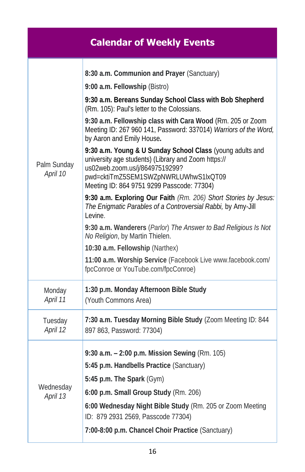|                         | <b>Calendar of Weekly Events</b>                                                                                                                                                                                                                                                                                                                                                                                                                                                                                                                                                                                                                                                                                                                                                                                                                                                                                                                                                              |
|-------------------------|-----------------------------------------------------------------------------------------------------------------------------------------------------------------------------------------------------------------------------------------------------------------------------------------------------------------------------------------------------------------------------------------------------------------------------------------------------------------------------------------------------------------------------------------------------------------------------------------------------------------------------------------------------------------------------------------------------------------------------------------------------------------------------------------------------------------------------------------------------------------------------------------------------------------------------------------------------------------------------------------------|
| Palm Sunday<br>April 10 | 8:30 a.m. Communion and Prayer (Sanctuary)<br>9:00 a.m. Fellowship (Bistro)<br>9:30 a.m. Bereans Sunday School Class with Bob Shepherd<br>(Rm. 105): Paul's letter to the Colossians.<br>9:30 a.m. Fellowship class with Cara Wood (Rm. 205 or Zoom<br>Meeting ID: 267 960 141, Password: 337014) Warriors of the Word,<br>by Aaron and Emily House.<br>9:30 a.m. Young & U Sunday School Class (young adults and<br>university age students) (Library and Zoom https://<br>us02web.zoom.us/j/86497519299?<br>pwd=cktiTmZ5SEM1SWZpNWRLUWhwS1lxQT09<br>Meeting ID: 864 9751 9299 Passcode: 77304)<br>9:30 a.m. Exploring Our Faith (Rm. 206) Short Stories by Jesus:<br>The Enigmatic Parables of a Controversial Rabbi, by Amy-Jill<br>Levine.<br>9:30 a.m. Wanderers (Parlor) The Answer to Bad Religious Is Not<br>No Religion, by Martin Thielen.<br>10:30 a.m. Fellowship (Narthex)<br>11:00 a.m. Worship Service (Facebook Live www.facebook.com/<br>fpcConroe or YouTube.com/fpcConroe) |
| Monday<br>April 11      | 1:30 p.m. Monday Afternoon Bible Study<br>(Youth Commons Area)                                                                                                                                                                                                                                                                                                                                                                                                                                                                                                                                                                                                                                                                                                                                                                                                                                                                                                                                |
| Tuesday<br>April 12     | 7:30 a.m. Tuesday Morning Bible Study (Zoom Meeting ID: 844<br>897 863, Password: 77304)                                                                                                                                                                                                                                                                                                                                                                                                                                                                                                                                                                                                                                                                                                                                                                                                                                                                                                      |
| Wednesday<br>April 13   | 9:30 a.m. - 2:00 p.m. Mission Sewing (Rm. 105)<br>5:45 p.m. Handbells Practice (Sanctuary)<br>5:45 p.m. The Spark (Gym)<br>6:00 p.m. Small Group Study (Rm. 206)<br>6:00 Wednesday Night Bible Study (Rm. 205 or Zoom Meeting<br>ID: 879 2931 2569, Passcode 77304)<br>7:00-8:00 p.m. Chancel Choir Practice (Sanctuary)                                                                                                                                                                                                                                                                                                                                                                                                                                                                                                                                                                                                                                                                      |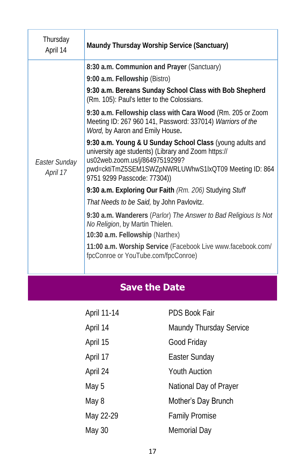| Thursday<br>April 14      | Maundy Thursday Worship Service (Sanctuary)                                                                                                                                                                                                                                                                                                                                                                                                                                                                                                                                                                                                                                                                                                                                                                                                                                                                                                             |
|---------------------------|---------------------------------------------------------------------------------------------------------------------------------------------------------------------------------------------------------------------------------------------------------------------------------------------------------------------------------------------------------------------------------------------------------------------------------------------------------------------------------------------------------------------------------------------------------------------------------------------------------------------------------------------------------------------------------------------------------------------------------------------------------------------------------------------------------------------------------------------------------------------------------------------------------------------------------------------------------|
| Easter Sunday<br>April 17 | 8:30 a.m. Communion and Prayer (Sanctuary)<br>9:00 a.m. Fellowship (Bistro)<br>9:30 a.m. Bereans Sunday School Class with Bob Shepherd<br>(Rm. 105): Paul's letter to the Colossians.<br>9:30 a.m. Fellowship class with Cara Wood (Rm. 205 or Zoom<br>Meeting ID: 267 960 141, Password: 337014) Warriors of the<br>Word, by Aaron and Emily House.<br>9:30 a.m. Young & U Sunday School Class (young adults and<br>university age students) (Library and Zoom https://<br>us02web.zoom.us/j/86497519299?<br>pwd=cktiTmZ5SEM1SWZpNWRLUWhwS1lxQT09 Meeting ID: 864<br>9751 9299 Passcode: 77304))<br>9:30 a.m. Exploring Our Faith (Rm. 206) Studying Stuff<br>That Needs to be Said, by John Pavlovitz.<br>9:30 a.m. Wanderers (Parlor) The Answer to Bad Religious Is Not<br>No Religion, by Martin Thielen.<br>10:30 a.m. Fellowship (Narthex)<br>11:00 a.m. Worship Service (Facebook Live www.facebook.com/<br>fpcConroe or YouTube.com/fpcConroe) |
|                           |                                                                                                                                                                                                                                                                                                                                                                                                                                                                                                                                                                                                                                                                                                                                                                                                                                                                                                                                                         |

# **Save the Date**

| April 11-14 | <b>PDS Book Fair</b>    |
|-------------|-------------------------|
| April 14    | Maundy Thursday Service |
| April 15    | Good Friday             |
| April 17    | Easter Sunday           |
| April 24    | <b>Youth Auction</b>    |
| May 5       | National Day of Prayer  |
| May 8       | Mother's Day Brunch     |
| May 22-29   | Family Promise          |
| May 30      | Memorial Day            |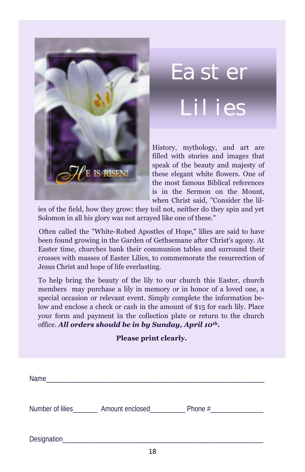

filled with stories and images that  $\mathcal{F}/\mathcal{E}$  IS RISEN! these elegant white flowers. One of the most famous Biblical references speak of the beauty and majesty of is in the Sermon on the Mount,

Solomon in all his glory was not arrayed like one of these." ies of the field, how they grow: they toil not, neither do they spin and yet

Often called the "White-Robed Apostles of Hope," lilies are said to have been found growing in the Garden of Gethsemane after Christ's agony. At Easter time, churches bank their communion tables and surround their **Jesus Christ and hope of life everlasting.** crosses with masses of Easter Lilies, to commemorate the resurrection of

To help bring the beauty of the lily to our church this Easter, church members may purchase a lily in memory or in honor of a loved one, a special occasion or relevant event. Simply complete the information below and enclose a check or cash in the amount of \$15 for each lily. Place your form and payment in the collection plate or return to the church office. *All orders should be in by Sunday, April 10th.*

#### **Please print clearly.**

| Name        |                                  |  |
|-------------|----------------------------------|--|
|             | Number of lilies Amount enclosed |  |
| Designation |                                  |  |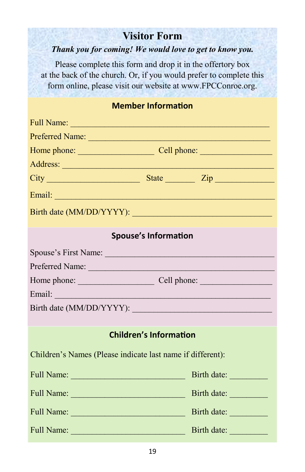# **Visitor Form**

#### *Thank you for coming! We would love to get to know you.*

Please complete this form and drop it in the offertory box at the back of the church. Or, if you would prefer to complete this form online, please visit our website at www.FPCConroe.org.

|  | <b>Member Information</b> |
|--|---------------------------|
|  |                           |

|               | Address: <u>Address:</u> Address: Address: Address: Address: Address: Address: Address: Address: Address: Address: Address: Address: Address: Address: Address: Address: Address: Address: Address: Address: Address: Address: Addr |  |
|---------------|-------------------------------------------------------------------------------------------------------------------------------------------------------------------------------------------------------------------------------------|--|
|               |                                                                                                                                                                                                                                     |  |
|               |                                                                                                                                                                                                                                     |  |
|               |                                                                                                                                                                                                                                     |  |
|               | <b>Spouse's Information</b>                                                                                                                                                                                                         |  |
|               |                                                                                                                                                                                                                                     |  |
|               | Preferred Name:                                                                                                                                                                                                                     |  |
|               |                                                                                                                                                                                                                                     |  |
| Email: Email: |                                                                                                                                                                                                                                     |  |
|               |                                                                                                                                                                                                                                     |  |
|               |                                                                                                                                                                                                                                     |  |
|               | <b>Children's Information</b>                                                                                                                                                                                                       |  |
|               | Children's Names (Please indicate last name if different):                                                                                                                                                                          |  |
|               | Birth date:                                                                                                                                                                                                                         |  |
|               | Birth date:                                                                                                                                                                                                                         |  |
|               | Birth date:                                                                                                                                                                                                                         |  |
| Full Name:    | Birth date:<br>$\mathcal{L}^{\text{max}}_{\text{max}}$ and $\mathcal{L}^{\text{max}}_{\text{max}}$ and $\mathcal{L}^{\text{max}}_{\text{max}}$ and $\mathcal{L}^{\text{max}}_{\text{max}}$<br><b>Service Service</b>                |  |